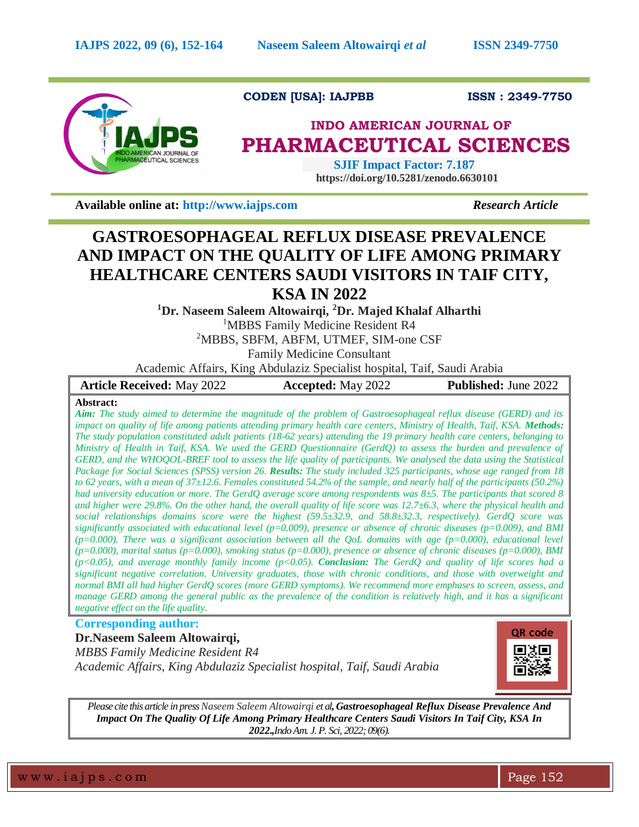

# **CODEN [USA]: IAJPBB ISSN : 2349-7750**

# **INDO AMERICAN JOURNAL OF PHARMACEUTICAL SCIENCES**

 **SJIF Impact Factor: 7.187 https://doi.org/10.5281/zenodo.6630101**

**Available online at: [http://www.iajps.com](http://www.iajps.com/)** *Research Article*

# **GASTROESOPHAGEAL REFLUX DISEASE PREVALENCE AND IMPACT ON THE QUALITY OF LIFE AMONG PRIMARY HEALTHCARE CENTERS SAUDI VISITORS IN TAIF CITY, KSA IN 2022**

**<sup>1</sup>Dr. Naseem Saleem Altowairqi, <sup>2</sup>Dr. Majed Khalaf Alharthi**

<sup>1</sup>MBBS Family Medicine Resident R4

<sup>2</sup>MBBS, SBFM, ABFM, UTMEF, SIM-one CSF

Family Medicine Consultant

Academic Affairs, King Abdulaziz Specialist hospital, Taif, Saudi Arabia

| <b>Article Received: May 2022</b> | <b>Accepted:</b> May 2022 | <b>Published: June 2022</b> |
|-----------------------------------|---------------------------|-----------------------------|
| Abstroot:                         |                           |                             |

# **Abstract:**

*Aim: The study aimed to determine the magnitude of the problem of Gastroesophageal reflux disease (GERD) and its impact on quality of life among patients attending primary health care centers, Ministry of Health, Taif, KSA. Methods: The study population constituted adult patients (18-62 years) attending the 19 primary health care centers, belonging to Ministry of Health in Taif, KSA. We used the GERD Questionnaire (GerdQ) to assess the burden and prevalence of GERD, and the WHOQOL-BREF tool to assess the life quality of participants. We analysed the data using the Statistical Package for Social Sciences (SPSS) version 26. Results: The study included 325 participants, whose age ranged from 18 to 62 years, with a mean of 37±12.6. Females constituted 54.2% of the sample, and nearly half of the participants (50.2%) had university education or more. The GerdQ average score among respondents was 8±5. The participants that scored 8 and higher were 29.8%. On the other hand, the overall quality of life score was 12.7±6.3, where the physical health and social relationships domains score were the highest (59.5±32.9, and 58.8±32.3, respectively). GerdQ score was significantly associated with educational level (p=0.009), presence or absence of chronic diseases (p=0.009), and BMI (p=0.000). There was a significant association between all the QoL domains with age (p=0.000), educational level (p=0.000), marital status (p=0.000), smoking status (p=0.000), presence or absence of chronic diseases (p=0.000), BMI*   $(p<0.05)$ , and average monthly family income  $(p<0.05)$ . **Conclusion:** The GerdQ and quality of life scores had a *significant negative correlation. University graduates, those with chronic conditions, and those with overweight and normal BMI all had higher GerdQ scores (more GERD symptoms). We recommend more emphases to screen, assess, and manage GERD among the general public as the prevalence of the condition is relatively high, and it has a significant negative effect on the life quality.*

# **Corresponding author:**

**Dr.Naseem Saleem Altowairqi,** *MBBS Family Medicine Resident R4 Academic Affairs, King Abdulaziz Specialist hospital, Taif, Saudi Arabia*



*Please cite this article in press Naseem Saleem Altowairqi et al, Gastroesophageal Reflux Disease Prevalence And Impact On The Quality Of Life Among Primary Healthcare Centers Saudi Visitors In Taif City, KSA In 2022.,Indo Am. J. P. Sci, 2022; 09(6).*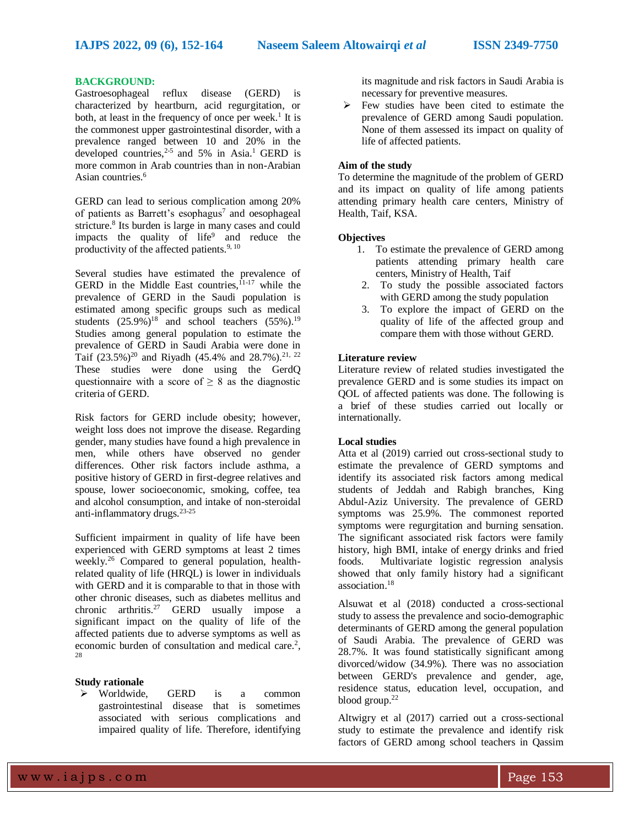# **BACKGROUND:**

Gastroesophageal reflux disease (GERD) is characterized by heartburn, acid regurgitation, or both, at least in the frequency of once per week.<sup>1</sup> It is the commonest upper gastrointestinal disorder, with a prevalence ranged between 10 and 20% in the developed countries,<sup>2-5</sup> and 5% in Asia.<sup>1</sup> GERD is more common in Arab countries than in non-Arabian Asian countries.<sup>6</sup>

GERD can lead to serious complication among 20% of patients as Barrett's esophagus<sup>7</sup> and oesophageal stricture.<sup>8</sup> Its burden is large in many cases and could impacts the quality of life<sup>9</sup> and reduce the productivity of the affected patients. $9, 10$ 

Several studies have estimated the prevalence of GERD in the Middle East countries,  $I<sub>1-17</sub>$  while the prevalence of GERD in the Saudi population is estimated among specific groups such as medical students  $(25.9\%)^{18}$  and school teachers  $(55\%)^{19}$ . Studies among general population to estimate the prevalence of GERD in Saudi Arabia were done in Taif (23.5%)<sup>20</sup> and Riyadh (45.4% and 28.7%).<sup>21, 22</sup> These studies were done using the GerdQ questionnaire with a score of  $\geq 8$  as the diagnostic criteria of GERD.

Risk factors for GERD include obesity; however, weight loss does not improve the disease. Regarding gender, many studies have found a high prevalence in men, while others have observed no gender differences. Other risk factors include asthma, a positive history of GERD in first-degree relatives and spouse, lower socioeconomic, smoking, coffee, tea and alcohol consumption, and intake of non-steroidal anti-inflammatory drugs.23-25

Sufficient impairment in quality of life have been experienced with GERD symptoms at least 2 times weekly.<sup>26</sup> Compared to general population, healthrelated quality of life (HRQL) is lower in individuals with GERD and it is comparable to that in those with other chronic diseases, such as diabetes mellitus and chronic arthritis.<sup>27</sup> GERD usually impose a significant impact on the quality of life of the affected patients due to adverse symptoms as well as economic burden of consultation and medical care.<sup>2</sup>, 28

# **Study rationale**

 Worldwide, GERD is a common gastrointestinal disease that is sometimes associated with serious complications and impaired quality of life. Therefore, identifying its magnitude and risk factors in Saudi Arabia is necessary for preventive measures.

 $\triangleright$  Few studies have been cited to estimate the prevalence of GERD among Saudi population. None of them assessed its impact on quality of life of affected patients.

# **Aim of the study**

To determine the magnitude of the problem of GERD and its impact on quality of life among patients attending primary health care centers, Ministry of Health, Taif, KSA.

### **Objectives**

- 1. To estimate the prevalence of GERD among patients attending primary health care centers, Ministry of Health, Taif
- 2. To study the possible associated factors with GERD among the study population
- 3. To explore the impact of GERD on the quality of life of the affected group and compare them with those without GERD.

#### **Literature review**

Literature review of related studies investigated the prevalence GERD and is some studies its impact on QOL of affected patients was done. The following is a brief of these studies carried out locally or internationally.

# **Local studies**

Atta et al (2019) carried out cross-sectional study to estimate the prevalence of GERD symptoms and identify its associated risk factors among medical students of Jeddah and Rabigh branches, King Abdul-Aziz University. The prevalence of GERD symptoms was 25.9%. The commonest reported symptoms were regurgitation and burning sensation. The significant associated risk factors were family history, high BMI, intake of energy drinks and fried foods. Multivariate logistic regression analysis showed that only family history had a significant association.<sup>18</sup>

Alsuwat et al (2018) conducted a cross-sectional study to assess the prevalence and socio-demographic determinants of GERD among the general population of Saudi Arabia. The prevalence of GERD was 28.7%. It was found statistically significant among divorced/widow (34.9%). There was no association between GERD's prevalence and gender, age, residence status, education level, occupation, and blood group. $22$ 

Altwigry et al (2017) carried out a cross-sectional study to estimate the prevalence and identify risk factors of GERD among school teachers in Qassim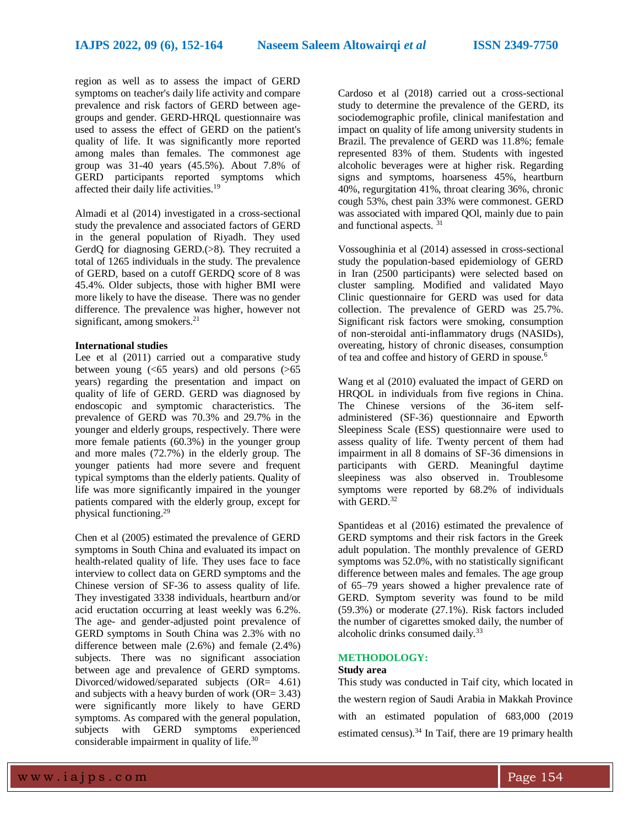region as well as to assess the impact of GERD symptoms on teacher's daily life activity and compare prevalence and risk factors of GERD between agegroups and gender. GERD-HRQL questionnaire was used to assess the effect of GERD on the patient's quality of life. It was significantly more reported among males than females. The commonest age group was 31-40 years (45.5%). About 7.8% of GERD participants reported symptoms which affected their daily life activities.<sup>19</sup>

Almadi et al (2014) investigated in a cross-sectional study the prevalence and associated factors of GERD in the general population of Riyadh. They used GerdQ for diagnosing GERD.(>8). They recruited a total of 1265 individuals in the study. The prevalence of GERD, based on a cutoff GERDQ score of 8 was 45.4%. Older subjects, those with higher BMI were more likely to have the disease. There was no gender difference. The prevalence was higher, however not significant, among smokers.<sup>21</sup>

# **International studies**

Lee et al  $(2011)$  carried out a comparative study between young  $( $65$  years) and old persons  $(>65$$ years) regarding the presentation and impact on quality of life of GERD. GERD was diagnosed by endoscopic and symptomic characteristics. The prevalence of GERD was 70.3% and 29.7% in the younger and elderly groups, respectively. There were more female patients (60.3%) in the younger group and more males (72.7%) in the elderly group. The younger patients had more severe and frequent typical symptoms than the elderly patients. Quality of life was more significantly impaired in the younger patients compared with the elderly group, except for physical functioning.<sup>29</sup>

Chen et al (2005) estimated the prevalence of GERD symptoms in South China and evaluated its impact on health-related quality of life. They uses face to face interview to collect data on GERD symptoms and the Chinese version of SF-36 to assess quality of life. They investigated 3338 individuals, heartburn and/or acid eructation occurring at least weekly was 6.2%. The age- and gender-adjusted point prevalence of GERD symptoms in South China was 2.3% with no difference between male (2.6%) and female (2.4%) subjects. There was no significant association between age and prevalence of GERD symptoms. Divorced/widowed/separated subjects (OR= 4.61) and subjects with a heavy burden of work (OR= 3.43) were significantly more likely to have GERD symptoms. As compared with the general population, subjects with GERD symptoms experienced considerable impairment in quality of life.<sup>30</sup>

Cardoso et al (2018) carried out a cross-sectional study to determine the prevalence of the GERD, its sociodemographic profile, clinical manifestation and impact on quality of life among university students in Brazil. The prevalence of GERD was 11.8%; female represented 83% of them. Students with ingested alcoholic beverages were at higher risk. Regarding signs and symptoms, hoarseness 45%, heartburn 40%, regurgitation 41%, throat clearing 36%, chronic cough 53%, chest pain 33% were commonest. GERD was associated with impared QOl, mainly due to pain and functional aspects. <sup>31</sup>

Vossoughinia et al (2014) assessed in cross-sectional study the population-based epidemiology of GERD in Iran (2500 participants) were selected based on cluster sampling. Modified and validated Mayo Clinic questionnaire for GERD was used for data collection. The prevalence of GERD was 25.7%. Significant risk factors were smoking, consumption of non-steroidal anti-inflammatory drugs (NASIDs), overeating, history of chronic diseases, consumption of tea and coffee and history of GERD in spouse.<sup>6</sup>

Wang et al (2010) evaluated the impact of GERD on HRQOL in individuals from five regions in China. The Chinese versions of the 36-item selfadministered (SF-36) questionnaire and Epworth Sleepiness Scale (ESS) questionnaire were used to assess quality of life. Twenty percent of them had impairment in all 8 domains of SF-36 dimensions in participants with GERD. Meaningful daytime sleepiness was also observed in. Troublesome symptoms were reported by 68.2% of individuals with GERD. $32$ 

Spantideas et al (2016) estimated the prevalence of GERD symptoms and their risk factors in the Greek adult population. The monthly prevalence of GERD symptoms was 52.0%, with no statistically significant difference between males and females. The age group of 65–79 years showed a higher prevalence rate of GERD. Symptom severity was found to be mild (59.3%) or moderate (27.1%). Risk factors included the number of cigarettes smoked daily, the number of alcoholic drinks consumed daily.<sup>33</sup>

# **METHODOLOGY:**

# **Study area**

This study was conducted in Taif city, which located in the western region of Saudi Arabia in Makkah Province with an estimated population of [683,000 \(2019](http://www.taifcity.gov.sa/)  [estimated census\).](http://www.taifcity.gov.sa/)<sup>34</sup> In Taif, there are 19 primary health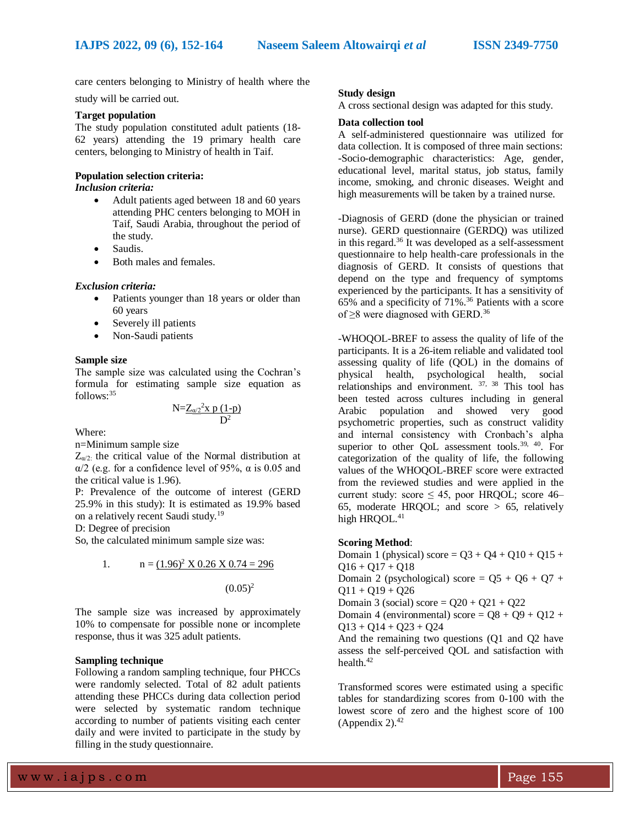care centers belonging to Ministry of health where the

study will be carried out.

# **Target population**

The study population constituted adult patients (18- 62 years) attending the 19 primary health care centers, belonging to Ministry of health in Taif.

#### **Population selection criteria:** *Inclusion criteria:*

- Adult patients aged between 18 and 60 years attending PHC centers belonging to MOH in Taif, Saudi Arabia, throughout the period of the study.
- Saudis.
- Both males and females.

#### *Exclusion criteria:*

- Patients younger than 18 years or older than 60 years
- Severely ill patients
- Non-Saudi patients

#### **Sample size**

The sample size was calculated using the Cochran's formula for estimating sample size equation as follows:<sup>35</sup>

$$
N = \underline{Z_{\alpha/2}}^2 x \ p \ (1-p)
$$

$$
D^2
$$

Where:

n=Minimum sample size

 $Z_{\alpha/2}$ : the critical value of the Normal distribution at α/2 (e.g. for a confidence level of 95%, α is 0.05 and the critical value is 1.96).

P: Prevalence of the outcome of interest (GERD 25.9% in this study): It is estimated as 19.9% based on a relatively recent Saudi study.<sup>19</sup>

D: Degree of precision

So, the calculated minimum sample size was:

1. 
$$
n = \frac{(1.96)^2 \times 0.26 \times 0.74 = 296}{(0.05)^2}
$$

The sample size was increased by approximately 10% to compensate for possible none or incomplete response, thus it was 325 adult patients.

#### **Sampling technique**

Following a random sampling technique, four PHCCs were randomly selected. Total of 82 adult patients attending these PHCCs during data collection period were selected by systematic random technique according to number of patients visiting each center daily and were invited to participate in the study by filling in the study questionnaire.

#### **Study design**

A cross sectional design was adapted for this study.

# **Data collection tool**

A self-administered questionnaire was utilized for data collection. It is composed of three main sections: -Socio-demographic characteristics: Age, gender, educational level, marital status, job status, family income, smoking, and chronic diseases. Weight and high measurements will be taken by a trained nurse.

-Diagnosis of GERD (done the physician or trained nurse). GERD questionnaire (GERDQ) was utilized in this regard.<sup>36</sup> It was developed as a self-assessment questionnaire to help health-care professionals in the diagnosis of GERD. It consists of questions that depend on the type and frequency of symptoms experienced by the participants. It has a sensitivity of 65% and a specificity of 71%.<sup>36</sup> Patients with a score of  $\geq$ 8 were diagnosed with GERD.<sup>36</sup>

-WHOQOL-BREF to assess the quality of life of the participants. It is a 26-item reliable and validated tool assessing quality of life (QOL) in the domains of physical health, psychological health, social relationships and environment. <sup>37, 38</sup> This tool has been tested across cultures including in general Arabic population and showed very good psychometric properties, such as construct validity and internal consistency with Cronbach's alpha superior to other QoL assessment tools.<sup>39, 40</sup>. For categorization of the quality of life, the following values of the WHOQOL-BREF score were extracted from the reviewed studies and were applied in the current study: score  $\leq 45$ , poor HRQOL; score 46– 65, moderate HROOL; and score  $> 65$ , relatively high HROOL.<sup>41</sup>

# **Scoring Method**:

Domain 1 (physical) score =  $Q3 + Q4 + Q10 + Q15 +$  $Q16 + Q17 + Q18$ Domain 2 (psychological) score =  $05 + 06 + 07 +$  $Q11 + Q19 + Q26$ Domain 3 (social) score =  $Q20 + Q21 + Q22$ Domain 4 (environmental) score =  $Q8 + Q9 + Q12 +$  $Q13 + Q14 + Q23 + Q24$ And the remaining two questions (Q1 and Q2 have assess the self-perceived QOL and satisfaction with health.<sup>42</sup>

Transformed scores were estimated using a specific tables for standardizing scores from 0-100 with the lowest score of zero and the highest score of 100 (Appendix 2). $42$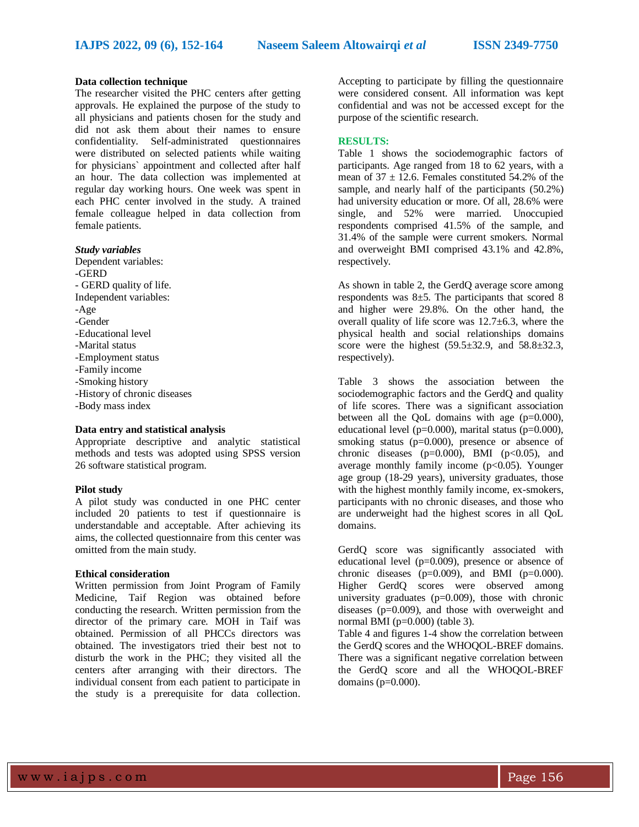# **Data collection technique**

The researcher visited the PHC centers after getting approvals. He explained the purpose of the study to all physicians and patients chosen for the study and did not ask them about their names to ensure confidentiality. Self-administrated questionnaires were distributed on selected patients while waiting for physicians` appointment and collected after half an hour. The data collection was implemented at regular day working hours. One week was spent in each PHC center involved in the study. A trained female colleague helped in data collection from female patients.

### *Study variables*

Dependent variables: -GERD - GERD quality of life. Independent variables: -Age -Gender -Educational level -Marital status -Employment status -Family income -Smoking history -History of chronic diseases -Body mass index

#### **Data entry and statistical analysis**

Appropriate descriptive and analytic statistical methods and tests was adopted using SPSS version 26 software statistical program.

# **Pilot study**

A pilot study was conducted in one PHC center included 20 patients to test if questionnaire is understandable and acceptable. After achieving its aims, the collected questionnaire from this center was omitted from the main study.

# **Ethical consideration**

Written permission from Joint Program of Family Medicine, Taif Region was obtained before conducting the research. Written permission from the director of the primary care. MOH in Taif was obtained. Permission of all PHCCs directors was obtained. The investigators tried their best not to disturb the work in the PHC; they visited all the centers after arranging with their directors. The individual consent from each patient to participate in the study is a prerequisite for data collection.

Accepting to participate by filling the questionnaire were considered consent. All information was kept confidential and was not be accessed except for the purpose of the scientific research.

# **RESULTS:**

Table 1 shows the sociodemographic factors of participants. Age ranged from 18 to 62 years, with a mean of  $37 \pm 12.6$ . Females constituted 54.2% of the sample, and nearly half of the participants (50.2%) had university education or more. Of all, 28.6% were single, and 52% were married. Unoccupied respondents comprised 41.5% of the sample, and 31.4% of the sample were current smokers. Normal and overweight BMI comprised 43.1% and 42.8%, respectively.

As shown in table 2, the GerdQ average score among respondents was  $8\pm 5$ . The participants that scored 8 and higher were 29.8%. On the other hand, the overall quality of life score was  $12.7 \pm 6.3$ , where the physical health and social relationships domains score were the highest  $(59.5\pm32.9, \text{ and } 58.8\pm32.3, \text{)}$ respectively).

Table 3 shows the association between the sociodemographic factors and the GerdQ and quality of life scores. There was a significant association between all the QoL domains with age  $(p=0.000)$ , educational level ( $p=0.000$ ), marital status ( $p=0.000$ ), smoking status (p=0.000), presence or absence of chronic diseases ( $p=0.000$ ), BMI ( $p<0.05$ ), and average monthly family income  $(p<0.05)$ . Younger age group (18-29 years), university graduates, those with the highest monthly family income, ex-smokers, participants with no chronic diseases, and those who are underweight had the highest scores in all QoL domains.

GerdQ score was significantly associated with educational level (p=0.009), presence or absence of chronic diseases ( $p=0.009$ ), and BMI ( $p=0.000$ ). Higher GerdQ scores were observed among university graduates (p=0.009), those with chronic diseases (p=0.009), and those with overweight and normal BMI ( $p=0.000$ ) (table 3).

Table 4 and figures 1-4 show the correlation between the GerdQ scores and the WHOQOL-BREF domains. There was a significant negative correlation between the GerdQ score and all the WHOQOL-BREF domains ( $p=0.000$ ).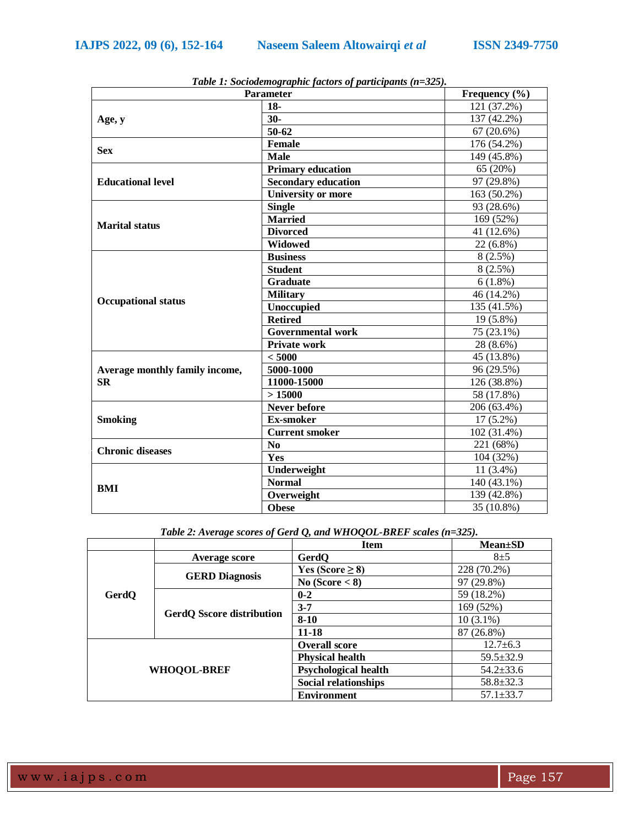| <b>Parameter</b>               | Frequency $(\% )$          |             |  |
|--------------------------------|----------------------------|-------------|--|
|                                | $18-$                      | 121 (37.2%) |  |
| Age, y                         | $30-$                      | 137 (42.2%) |  |
|                                | 50-62                      | 67(20.6%)   |  |
|                                | <b>Female</b>              | 176 (54.2%) |  |
| <b>Sex</b>                     | <b>Male</b>                | 149 (45.8%) |  |
|                                | <b>Primary education</b>   | 65 (20%)    |  |
| <b>Educational level</b>       | <b>Secondary education</b> | 97 (29.8%)  |  |
|                                | <b>University or more</b>  | 163 (50.2%) |  |
|                                | <b>Single</b>              | 93 (28.6%)  |  |
| <b>Marital status</b>          | <b>Married</b>             | 169 (52%)   |  |
|                                | <b>Divorced</b>            | 41 (12.6%)  |  |
|                                | <b>Widowed</b>             | 22 (6.8%)   |  |
|                                | <b>Business</b>            | $8(2.5\%)$  |  |
|                                | <b>Student</b>             | $8(2.5\%)$  |  |
|                                | <b>Graduate</b>            | $6(1.8\%)$  |  |
| <b>Occupational status</b>     | <b>Military</b>            | 46 (14.2%)  |  |
|                                | <b>Unoccupied</b>          | 135 (41.5%) |  |
|                                | <b>Retired</b>             | 19 (5.8%)   |  |
|                                | <b>Governmental work</b>   | 75 (23.1%)  |  |
|                                | <b>Private work</b>        | 28 (8.6%)   |  |
|                                | < 5000                     | 45 (13.8%)  |  |
| Average monthly family income, | 5000-1000                  | 96 (29.5%)  |  |
| <b>SR</b>                      | 11000-15000                | 126 (38.8%) |  |
|                                | >15000                     | 58 (17.8%)  |  |
|                                | <b>Never before</b>        | 206 (63.4%) |  |
| <b>Smoking</b>                 | <b>Ex-smoker</b>           | $17(5.2\%)$ |  |
|                                | <b>Current smoker</b>      | 102 (31.4%) |  |
| <b>Chronic diseases</b>        | N <sub>0</sub>             | 221 (68%)   |  |
|                                | Yes                        | 104 (32%)   |  |
|                                | Underweight                | $11(3.4\%)$ |  |
| BMI                            | <b>Normal</b>              | 140 (43.1%) |  |
|                                | Overweight                 | 139 (42.8%) |  |
|                                | <b>Obese</b>               | 35 (10.8%)  |  |

*Table 1: Sociodemographic factors of participants (n=325).*

*Table 2: Average scores of Gerd Q, and WHOQOL-BREF scales (n=325).*

|                    |                                  | <b>Item</b>                 | $Mean \pm SD$   |
|--------------------|----------------------------------|-----------------------------|-----------------|
|                    | Average score                    | GerdQ                       | $8\pm5$         |
|                    |                                  | Yes (Score $\geq$ 8)        | 228 (70.2%)     |
|                    | <b>GERD Diagnosis</b>            | No $(Score < 8)$            | 97 (29.8%)      |
| GerdQ              |                                  | $0 - 2$                     | 59 (18.2%)      |
|                    | <b>GerdQ Sscore distribution</b> | $3 - 7$                     | 169 (52%)       |
|                    |                                  | $8 - 10$                    | $10(3.1\%)$     |
|                    |                                  | 11-18                       | 87 (26.8%)      |
| <b>WHOQOL-BREF</b> |                                  | <b>Overall score</b>        | $12.7 \pm 6.3$  |
|                    |                                  | <b>Physical health</b>      | $59.5 \pm 32.9$ |
|                    |                                  | <b>Psychological health</b> | $54.2 \pm 33.6$ |
|                    |                                  | <b>Social relationships</b> | $58.8 \pm 32.3$ |
|                    |                                  | <b>Environment</b>          | $57.1 \pm 33.7$ |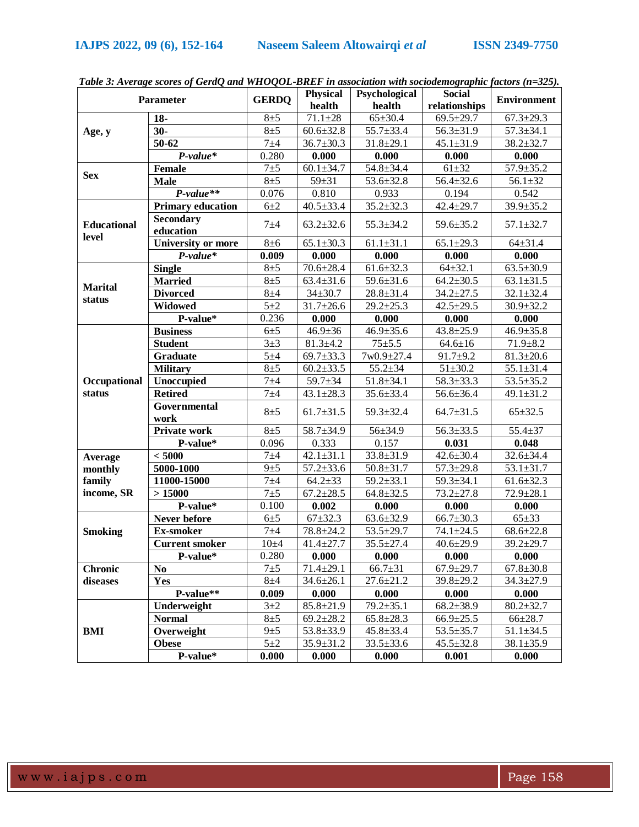|                             |                           |              | Physical                      | Psychological      | <b>Social</b>   |                    |
|-----------------------------|---------------------------|--------------|-------------------------------|--------------------|-----------------|--------------------|
|                             | <b>Parameter</b>          | <b>GERDQ</b> | health                        | health             | relationships   | <b>Environment</b> |
|                             | $18-$                     | $8\pm5$      | $71.1 \pm 28$                 | $65 \pm 30.4$      | $69.5 \pm 29.7$ | $67.3 \pm 29.3$    |
| Age, y                      | $30-$                     | $8\pm5$      | $60.6 \pm 32.8$               | $55.7 \pm 33.4$    | $56.3 \pm 31.9$ | $57.3 \pm 34.1$    |
|                             | $50 - 62$                 | $7 + 4$      | $36.7 \pm 30.3$               | $31.8 \pm 29.1$    | $45.1 \pm 31.9$ | $38.2 \pm 32.7$    |
|                             | $P-value*$                | 0.280        | 0.000                         | 0.000              | 0.000           | 0.000              |
|                             | <b>Female</b>             | $7\pm 5$     | $60.1 \pm 34.7$               | $54.8 \pm 34.4$    | $61 + 32$       | $57.9 \pm 35.2$    |
| <b>Sex</b>                  | <b>Male</b>               | $8\pm5$      | $59 + 31$                     | $53.6 \pm 32.8$    | $56.4 \pm 32.6$ | $56.1 \pm 32$      |
|                             | $P-value**$               | 0.076        | 0.810                         | 0.933              | 0.194           | 0.542              |
|                             | <b>Primary education</b>  | $6\pm2$      | $40.5 \pm 33.4$               | $35.2 \pm 32.3$    | $42.4 \pm 29.7$ | $39.9 \pm 35.2$    |
|                             | <b>Secondary</b>          |              |                               |                    | 59.6±35.2       | $57.1 \pm 32.7$    |
| <b>Educational</b><br>level | education                 | $7 + 4$      | $63.2 \pm 32.6$               | $55.3 \pm 34.2$    |                 |                    |
|                             | <b>University or more</b> | $8\pm 6$     | $65.1 \pm 30.3$               | $61.1 \pm 31.1$    | $65.1 \pm 29.3$ | $64 \pm 31.4$      |
|                             | $P-value*$                | 0.009        | 0.000                         | 0.000              | 0.000           | 0.000              |
|                             | <b>Single</b>             | $8\pm5$      | $70.6 \pm 28.4$               | $61.6 \pm 32.3$    | $64 + 32.1$     | $63.5 \pm 30.9$    |
|                             | <b>Married</b>            | $8\pm5$      | $63.4 \pm 31.6$               | $59.6 \pm 31.6$    | $64.2 \pm 30.5$ | $63.1 \pm 31.5$    |
| <b>Marital</b>              | <b>Divorced</b>           | $8\pm4$      | $34 \pm 30.7$                 | $28.8 \pm 31.4$    | $34.2 \pm 27.5$ | $32.1 \pm 32.4$    |
| status                      | <b>Widowed</b>            | $5\pm2$      | $31.7 \pm 26.6$               | $29.2 \pm 25.3$    | $42.5 \pm 29.5$ | $30.9 \pm 32.2$    |
|                             | P-value*                  | 0.236        | 0.000                         | 0.000              | 0.000           | 0.000              |
|                             | <b>Business</b>           | $6\pm5$      | $46.9 \pm 36$                 | $46.9 \pm 35.6$    | $43.8 \pm 25.9$ | $46.9 \pm 35.8$    |
|                             | <b>Student</b>            | $3\pm3$      | $81.3 \pm 4.2$                | $75 + 5.5$         | $64.6 \pm 16$   | $71.9 \pm 8.2$     |
|                             | <b>Graduate</b>           | 5±4          | $69.7 \pm 33.3$               | $7w0.9 \pm 27.4$   | $91.7 + 9.2$    | $81.3 \pm 20.6$    |
|                             | <b>Military</b>           | $8\pm5$      | $60.2 \pm 33.5$               | $55.2 \pm 34$      | $51 \pm 30.2$   | $55.1 \pm 31.4$    |
| Occupational                | <b>Unoccupied</b>         | $7 + 4$      | $59.7 \pm 34$                 | $51.8 \pm 34.1$    | $58.3 \pm 33.3$ | $53.5 \pm 35.2$    |
| status                      | <b>Retired</b>            | $7 + 4$      | $43.1 \pm 28.3$               | $35.6 \pm 33.4$    | $56.6 \pm 36.4$ | $49.1 \pm 31.2$    |
|                             | Governmental<br>work      | $8\pm5$      | $61.7 \pm 31.5$               | $59.3 \pm 32.4$    | $64.7 \pm 31.5$ | $65 \pm 32.5$      |
|                             | Private work              | $8\pm5$      | $58.7 \pm 34.9$               | 56±34.9            | $56.3 \pm 33.5$ | $55.4 \pm 37$      |
|                             | P-value*                  | 0.096        | 0.333                         | 0.157              | 0.031           | 0.048              |
| Average                     | < 5000                    | $7 + 4$      | $42.1 \pm 31.1$               | $33.8 \pm 31.9$    | $42.6 \pm 30.4$ | $32.6 \pm 34.4$    |
| monthly                     | 5000-1000                 | 9±5          | $57.2 \pm 33.6$               | $50.8 \pm 31.7$    | $57.3 \pm 29.8$ | $53.1 \pm 31.7$    |
| family                      | 11000-15000               | $7 + 4$      | $64.2 \pm 33$                 | $59.2 \pm 33.1$    | $59.3 \pm 34.1$ | $61.6 \pm 32.3$    |
| income, SR                  | >15000                    | $7\pm 5$     | $67.2 \pm 28.5$               | $64.8 \pm 32.5$    | $73.2 \pm 27.8$ | $72.9 \pm 28.1$    |
|                             | P-value*                  | 0.100        | 0.002                         | 0.000              | 0.000           | 0.000              |
|                             | Never before              | $6\pm5$      | $67 + 32.3$                   | $63.6 \pm 32.9$    | $66.7 \pm 30.3$ | $65 \pm 33$        |
| <b>Smoking</b>              | <b>Ex-smoker</b>          | $7 + 4$      | $78.8 \pm 24.2$               | $53.5 \pm 29.7$    | $74.1 \pm 24.5$ | $68.6 \pm 22.8$    |
|                             | <b>Current smoker</b>     | $10\pm4$     | $41.4 \pm 27.7$               | $35.5 \pm 27.4$    | $40.6 \pm 29.9$ | $39.2 \pm 29.7$    |
|                             | P-value*                  | 0.280        | $\overline{\phantom{0}0.000}$ | $\overline{0.000}$ | 0.000           | 0.000              |
| <b>Chronic</b>              | N <sub>0</sub>            | $7\pm 5$     | $71.4 \pm 29.1$               | $66.7 \pm 31$      | $67.9 \pm 29.7$ | $67.8 \pm 30.8$    |
| diseases                    | Yes                       | $8\pm4$      | $34.6 \pm 26.1$               | $27.6 \pm 21.2$    | $39.8 \pm 29.2$ | $34.3 \pm 27.9$    |
|                             | P-value**                 | 0.009        | 0.000                         | 0.000              | 0.000           | 0.000              |
|                             | Underweight               | $3+2$        | $85.8 \pm 21.9$               | $79.2 \pm 35.1$    | $68.2 \pm 38.9$ | $80.2 \pm 32.7$    |
|                             | <b>Normal</b>             | $8\pm5$      | $69.2 \pm 28.2$               | $65.8 \pm 28.3$    | $66.9 \pm 25.5$ | $66{\pm}28.7$      |
| BMI                         | Overweight                | 9±5          | $53.8 \pm 33.9$               | $45.8 \pm 33.4$    | $53.5 \pm 35.7$ | $51.1 \pm 34.5$    |
|                             | <b>Obese</b>              | $5\pm2$      | $35.9 \pm 31.2$               | $33.5 \pm 33.6$    | $45.5 \pm 32.8$ | $38.1 \pm 35.9$    |
|                             | P-value*                  | 0.000        | 0.000                         | 0.000              | 0.001           | 0.000              |

|  |  | Table 3: Average scores of GerdQ and WHOQOL-BREF in association with sociodemographic factors (n=325). |  |  |  |  |  |  |
|--|--|--------------------------------------------------------------------------------------------------------|--|--|--|--|--|--|
|--|--|--------------------------------------------------------------------------------------------------------|--|--|--|--|--|--|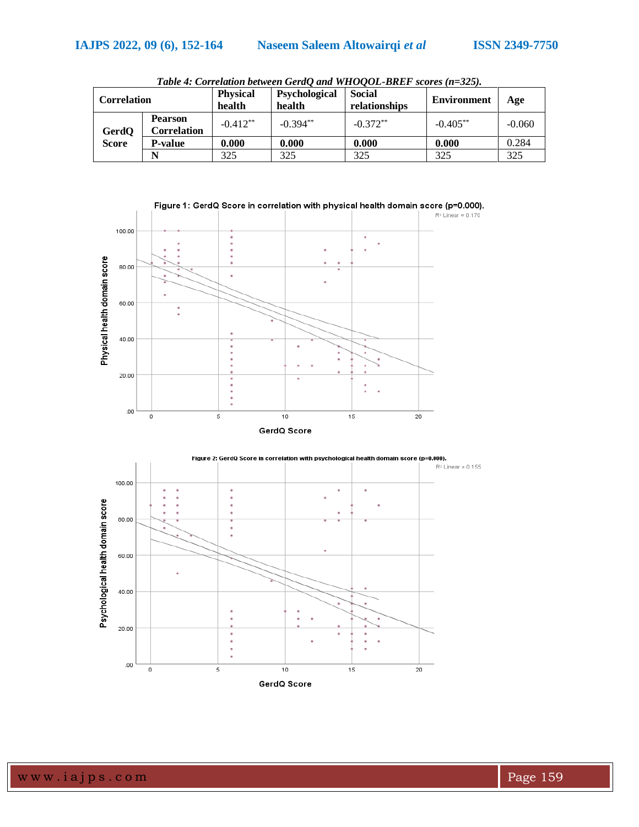| Correlation  |                                      | <b>Physical</b><br>health | Psychological<br>health | <b>Social</b><br>relationships | <b>Environment</b> | Age      |
|--------------|--------------------------------------|---------------------------|-------------------------|--------------------------------|--------------------|----------|
| GerdQ        | <b>Pearson</b><br><b>Correlation</b> | $-0.412**$                | $-0.394**$              | $-0.372**$                     | $-0.405***$        | $-0.060$ |
| <b>Score</b> | <b>P-value</b>                       | 0.000                     | 0.000                   | 0.000                          | 0.000              | 0.284    |
|              |                                      | 325                       | 325                     | 325                            | 325                | 325      |

*Table 4: Correlation between GerdQ and WHOQOL-BREF scores (n=325).*



Figure 1: GerdQ Score in correlation with physical health domain score (p=0.000).



www.iajps.com Page 159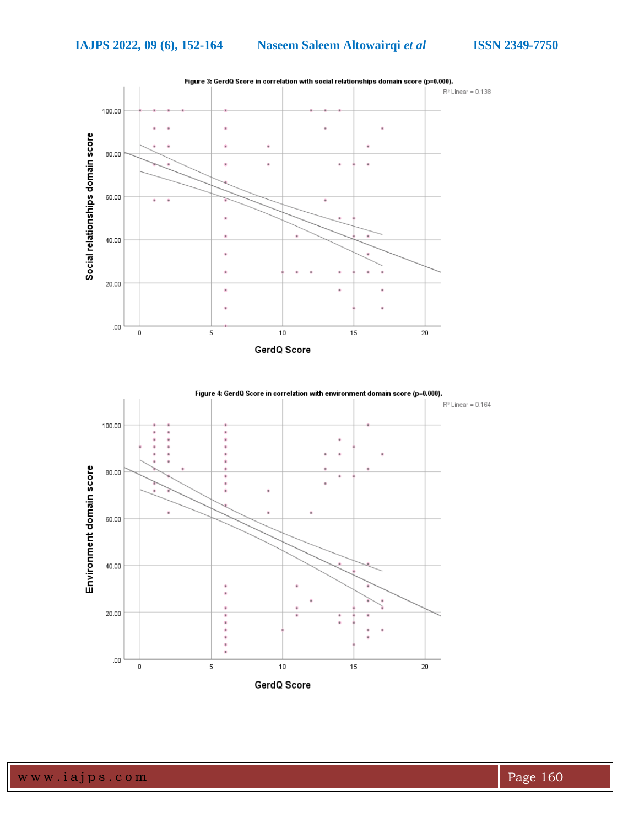**IAJPS 2022, 09 (6), 152-164 Naseem Saleem Altowairqi** *et al* **ISSN 2349-7750**

 $R^2$  Linear = 0.164



à.

Figure 4: GerdQ Score in correlation with environment domain score (p=0.000).



GerdQ Score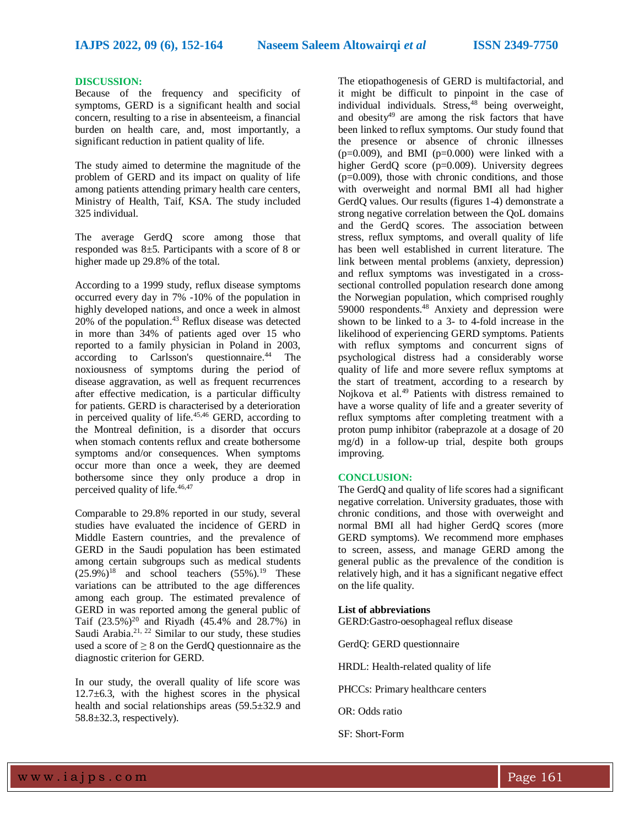### **DISCUSSION:**

Because of the frequency and specificity of symptoms, GERD is a significant health and social concern, resulting to a rise in absenteeism, a financial burden on health care, and, most importantly, a significant reduction in patient quality of life.

The study aimed to determine the magnitude of the problem of GERD and its impact on quality of life among patients attending primary health care centers, Ministry of Health, Taif, KSA. The study included 325 individual.

The average GerdQ score among those that responded was 8±5. Participants with a score of 8 or higher made up 29.8% of the total.

According to a 1999 study, reflux disease symptoms occurred every day in 7% -10% of the population in highly developed nations, and once a week in almost 20% of the population. <sup>43</sup> Reflux disease was detected in more than 34% of patients aged over 15 who reported to a family physician in Poland in 2003, according to Carlsson's questionnaire. <sup>44</sup> The noxiousness of symptoms during the period of disease aggravation, as well as frequent recurrences after effective medication, is a particular difficulty for patients. GERD is characterised by a deterioration in perceived quality of life.45,46 GERD, according to the Montreal definition, is a disorder that occurs when stomach contents reflux and create bothersome symptoms and/or consequences. When symptoms occur more than once a week, they are deemed bothersome since they only produce a drop in perceived quality of life. 46,47

Comparable to 29.8% reported in our study, several studies have evaluated the incidence of GERD in Middle Eastern countries, and the prevalence of GERD in the Saudi population has been estimated among certain subgroups such as medical students  $(25.9\%)$ <sup>18</sup> and school teachers  $(55\%)$ .<sup>19</sup> These variations can be attributed to the age differences among each group. The estimated prevalence of GERD in was reported among the general public of Taif  $(23.5\%)^{20}$  and Riyadh  $(45.4\%$  and  $28.7\%)$  in Saudi Arabia.<sup>21, 22</sup> Similar to our study, these studies used a score of  $\geq 8$  on the GerdQ questionnaire as the diagnostic criterion for GERD.

In our study, the overall quality of life score was 12.7±6.3, with the highest scores in the physical health and social relationships areas (59.5±32.9 and 58.8±32.3, respectively).

The etiopathogenesis of GERD is multifactorial, and it might be difficult to pinpoint in the case of in ingit of  $\frac{1}{2}$  connected  $\frac{1}{2}$  being overweight, and obesity $49$  are among the risk factors that have been linked to reflux symptoms. Our study found that the presence or absence of chronic illnesses  $(p=0.009)$ , and BMI  $(p=0.000)$  were linked with a higher GerdQ score (p=0.009). University degrees  $(p=0.009)$ , those with chronic conditions, and those with overweight and normal BMI all had higher GerdQ values. Our results (figures 1-4) demonstrate a strong negative correlation between the QoL domains and the GerdQ scores. The association between stress, reflux symptoms, and overall quality of life has been well established in current literature. The link between mental problems (anxiety, depression) and reflux symptoms was investigated in a crosssectional controlled population research done among the Norwegian population, which comprised roughly 59000 respondents. <sup>48</sup> Anxiety and depression were shown to be linked to a 3- to 4-fold increase in the likelihood of experiencing GERD symptoms. Patients with reflux symptoms and concurrent signs of psychological distress had a considerably worse quality of life and more severe reflux symptoms at the start of treatment, according to a research by Nojkova et al.<sup>49</sup> Patients with distress remained to have a worse quality of life and a greater severity of reflux symptoms after completing treatment with a proton pump inhibitor (rabeprazole at a dosage of 20 mg/d) in a follow-up trial, despite both groups improving.

# **CONCLUSION:**

The GerdQ and quality of life scores had a significant negative correlation. University graduates, those with chronic conditions, and those with overweight and normal BMI all had higher GerdQ scores (more GERD symptoms). We recommend more emphases to screen, assess, and manage GERD among the general public as the prevalence of the condition is relatively high, and it has a significant negative effect on the life quality.

# **List of abbreviations**

GERD:Gastro-oesophageal reflux disease

GerdQ: GERD questionnaire

HRDL: Health-related quality of life

PHCCs: Primary healthcare centers

OR: Odds ratio

SF: Short-Form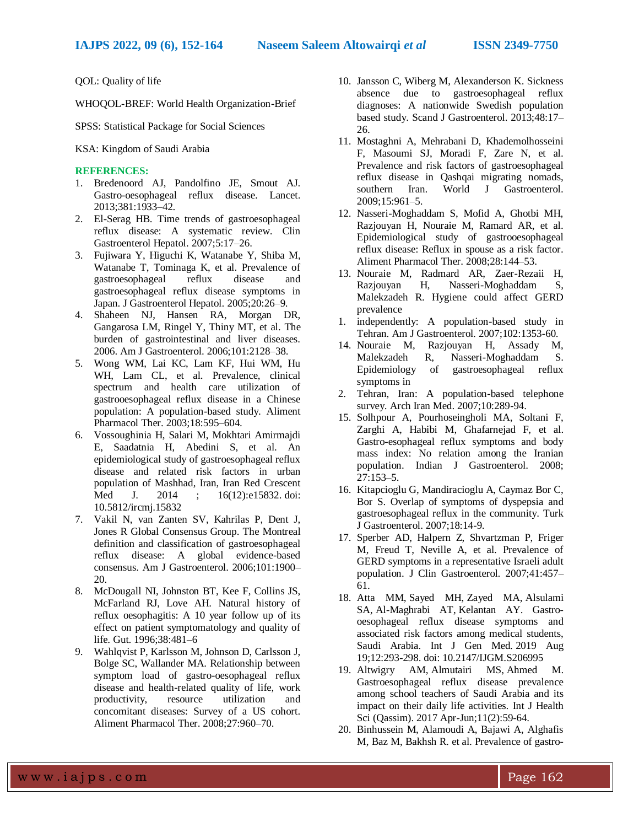QOL: Quality of life

WHOQOL-BREF: World Health Organization-Brief

SPSS: Statistical Package for Social Sciences

KSA: Kingdom of Saudi Arabia

# **REFERENCES:**

- 1. Bredenoord AJ, Pandolfino JE, Smout AJ. Gastro-oesophageal reflux disease. Lancet. 2013;381:1933–42.
- 2. El-Serag HB. Time trends of gastroesophageal reflux disease: A systematic review. Clin Gastroenterol Hepatol. 2007;5:17–26.
- 3. Fujiwara Y, Higuchi K, Watanabe Y, Shiba M, Watanabe T, Tominaga K, et al. Prevalence of gastroesophageal reflux disease and gastroesophageal reflux disease symptoms in Japan. J Gastroenterol Hepatol. 2005;20:26–9.
- 4. Shaheen NJ, Hansen RA, Morgan DR, Gangarosa LM, Ringel Y, Thiny MT, et al. The burden of gastrointestinal and liver diseases. 2006. Am J Gastroenterol. 2006;101:2128–38.
- 5. Wong WM, Lai KC, Lam KF, Hui WM, Hu WH, Lam CL, et al. Prevalence, clinical spectrum and health care utilization of gastrooesophageal reflux disease in a Chinese population: A population-based study. Aliment Pharmacol Ther. 2003;18:595–604.
- 6. Vossoughinia H, Salari M, Mokhtari Amirmajdi E, Saadatnia H, Abedini S, et al. An epidemiological study of gastroesophageal reflux disease and related risk factors in urban population of Mashhad, Iran, Iran Red Crescent Med J. 2014 ; 16(12):e15832. doi: [10.5812/ircmj.15832](https://dx.doi.org/10.5812/ircmj.15832)
- 7. Vakil N, van Zanten SV, Kahrilas P, Dent J, Jones R Global Consensus Group. The Montreal definition and classification of gastroesophageal reflux disease: A global evidence-based consensus. Am J Gastroenterol. 2006;101:1900– 20.
- 8. McDougall NI, Johnston BT, Kee F, Collins JS, McFarland RJ, Love AH. Natural history of reflux oesophagitis: A 10 year follow up of its effect on patient symptomatology and quality of life. Gut. 1996;38:481–6
- 9. Wahlqvist P, Karlsson M, Johnson D, Carlsson J, Bolge SC, Wallander MA. Relationship between symptom load of gastro-oesophageal reflux disease and health-related quality of life, work productivity, resource utilization and concomitant diseases: Survey of a US cohort. Aliment Pharmacol Ther. 2008;27:960–70.
- 10. Jansson C, Wiberg M, Alexanderson K. Sickness absence due to gastroesophageal reflux diagnoses: A nationwide Swedish population based study. Scand J Gastroenterol. 2013;48:17– 26.
- 11. Mostaghni A, Mehrabani D, Khademolhosseini F, Masoumi SJ, Moradi F, Zare N, et al. Prevalence and risk factors of gastroesophageal reflux disease in Qashqai migrating nomads, southern Iran. World J Gastroenterol. 2009;15:961–5.
- 12. Nasseri-Moghaddam S, Mofid A, Ghotbi MH, Razjouyan H, Nouraie M, Ramard AR, et al. Epidemiological study of gastrooesophageal reflux disease: Reflux in spouse as a risk factor. Aliment Pharmacol Ther. 2008;28:144–53.
- 13. Nouraie M, Radmard AR, Zaer-Rezaii H, Razjouyan H, Nasseri-Moghaddam S, Malekzadeh R. Hygiene could affect GERD prevalence
- 1. independently: A population-based study in Tehran. Am J Gastroenterol. 2007;102:1353-60.
- 14. Nouraie M, Razjouyan H, Assady M, Malekzadeh R, Nasseri-Moghaddam S. Epidemiology of gastroesophageal reflux symptoms in
- 2. Tehran, Iran: A population-based telephone survey. Arch Iran Med. 2007;10:289-94.
- 15. Solhpour A, Pourhoseingholi MA, Soltani F, Zarghi A, Habibi M, Ghafarnejad F, et al. Gastro-esophageal reflux symptoms and body mass index: No relation among the Iranian population. Indian J Gastroenterol. 2008; 27:153–5.
- 16. Kitapcioglu G, Mandiracioglu A, Caymaz Bor C, Bor S. Overlap of symptoms of dyspepsia and gastroesophageal reflux in the community. Turk J Gastroenterol. 2007;18:14-9.
- 17. Sperber AD, Halpern Z, Shvartzman P, Friger M, Freud T, Neville A, et al. Prevalence of GERD symptoms in a representative Israeli adult population. J Clin Gastroenterol. 2007;41:457– 61.
- 18. [Atta MM,](https://www.ncbi.nlm.nih.gov/pubmed/?term=Atta%20MM%5BAuthor%5D&cauthor=true&cauthor_uid=31692498) [Sayed MH,](https://www.ncbi.nlm.nih.gov/pubmed/?term=Sayed%20MH%5BAuthor%5D&cauthor=true&cauthor_uid=31692498) [Zayed MA,](https://www.ncbi.nlm.nih.gov/pubmed/?term=Zayed%20MA%5BAuthor%5D&cauthor=true&cauthor_uid=31692498) [Alsulami](https://www.ncbi.nlm.nih.gov/pubmed/?term=Alsulami%20SA%5BAuthor%5D&cauthor=true&cauthor_uid=31692498)  [SA,](https://www.ncbi.nlm.nih.gov/pubmed/?term=Alsulami%20SA%5BAuthor%5D&cauthor=true&cauthor_uid=31692498) [Al-Maghrabi AT,](https://www.ncbi.nlm.nih.gov/pubmed/?term=Al-Maghrabi%20AT%5BAuthor%5D&cauthor=true&cauthor_uid=31692498) [Kelantan AY.](https://www.ncbi.nlm.nih.gov/pubmed/?term=Kelantan%20AY%5BAuthor%5D&cauthor=true&cauthor_uid=31692498) Gastrooesophageal reflux disease symptoms and associated risk factors among medical students, Saudi Arabia. [Int J Gen Med.](https://www.ncbi.nlm.nih.gov/pubmed/31692498) 2019 Aug 19;12:293-298. doi: 10.2147/IJGM.S206995
- 19. [Altwigry AM,](https://www.ncbi.nlm.nih.gov/pubmed/?term=Altwigry%20AM%5BAuthor%5D&cauthor=true&cauthor_uid=28539865) [Almutairi MS,](https://www.ncbi.nlm.nih.gov/pubmed/?term=Almutairi%20MS%5BAuthor%5D&cauthor=true&cauthor_uid=28539865) [Ahmed M.](https://www.ncbi.nlm.nih.gov/pubmed/?term=Ahmed%20M%5BAuthor%5D&cauthor=true&cauthor_uid=28539865) Gastroesophageal reflux disease prevalence among school teachers of Saudi Arabia and its impact on their daily life activities. [Int J Health](https://www.ncbi.nlm.nih.gov/pubmed/28539865)  [Sci \(Qassim\).](https://www.ncbi.nlm.nih.gov/pubmed/28539865) 2017 Apr-Jun;11(2):59-64.
- 20. Binhussein M, Alamoudi A, Bajawi A, Alghafis M, Baz M, Bakhsh R. et al. Prevalence of gastro-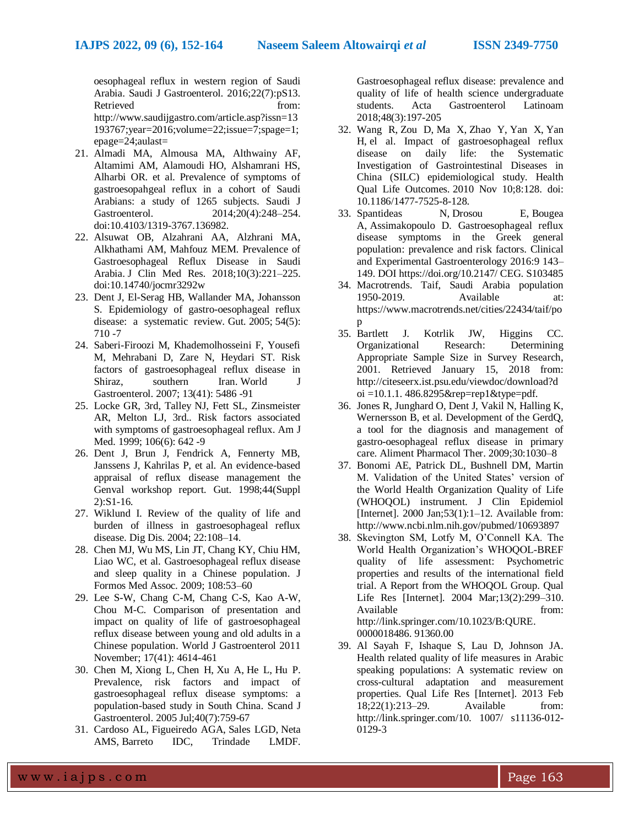oesophageal reflux in western region of Saudi Arabia. Saudi J Gastroenterol. 2016;22(7):pS13. Retrieved from: http://www.saudijgastro.com/article.asp?issn=13 193767;year=2016;volume=22;issue=7;spage=1; epage=24;aulast=

- 21. Almadi MA, Almousa MA, Althwainy AF, Altamimi AM, Alamoudi HO, Alshamrani HS, Alharbi OR. et al. Prevalence of symptoms of gastroesopahgeal reflux in a cohort of Saudi Arabians: a study of 1265 subjects. Saudi J Gastroenterol. 2014;20(4):248–254. doi:10.4103/1319-3767.136982.
- 22. Alsuwat OB, Alzahrani AA, Alzhrani MA, Alkhathami AM, Mahfouz MEM. Prevalence of Gastroesophageal Reflux Disease in Saudi Arabia. J Clin Med Res. 2018;10(3):221–225. doi:10.14740/jocmr3292w
- 23. Dent J, El-Serag HB, Wallander MA, Johansson S. Epidemiology of gastro-oesophageal reflux disease: a systematic review. Gut. 2005; 54(5): 710 -7
- 24. Saberi-Firoozi M, Khademolhosseini F, Yousefi M, Mehrabani D, Zare N, Heydari ST. Risk factors of gastroesophageal reflux disease in Shiraz, southern Iran. World J Gastroenterol. 2007; 13(41): 5486 -91
- 25. Locke GR, 3rd, Talley NJ, Fett SL, Zinsmeister AR, Melton LJ, 3rd.. Risk factors associated with symptoms of gastroesophageal reflux. Am J Med. 1999; 106(6): 642 -9
- 26. Dent J, Brun J, Fendrick A, Fennerty MB, Janssens J, Kahrilas P, et al. An evidence-based appraisal of reflux disease management the Genval workshop report. Gut. 1998;44(Suppl 2):S1-16.
- 27. Wiklund I. Review of the quality of life and burden of illness in gastroesophageal reflux disease. Dig Dis. 2004; 22:108–14.
- 28. Chen MJ, Wu MS, Lin JT, Chang KY, Chiu HM, Liao WC, et al. Gastroesophageal reflux disease and sleep quality in a Chinese population. J Formos Med Assoc. 2009; 108:53–60
- 29. Lee S-W, Chang C-M, Chang C-S, Kao A-W, Chou M-C. Comparison of presentation and impact on quality of life of gastroesophageal reflux disease between young and old adults in a Chinese population. World J Gastroenterol 2011 November; 17(41): 4614-461
- 30. [Chen M,](https://www.ncbi.nlm.nih.gov/pubmed/?term=Chen%20M%5BAuthor%5D&cauthor=true&cauthor_uid=16118911) [Xiong L,](https://www.ncbi.nlm.nih.gov/pubmed/?term=Xiong%20L%5BAuthor%5D&cauthor=true&cauthor_uid=16118911) [Chen H,](https://www.ncbi.nlm.nih.gov/pubmed/?term=Chen%20H%5BAuthor%5D&cauthor=true&cauthor_uid=16118911) [Xu A,](https://www.ncbi.nlm.nih.gov/pubmed/?term=Xu%20A%5BAuthor%5D&cauthor=true&cauthor_uid=16118911) [He L,](https://www.ncbi.nlm.nih.gov/pubmed/?term=He%20L%5BAuthor%5D&cauthor=true&cauthor_uid=16118911) [Hu P.](https://www.ncbi.nlm.nih.gov/pubmed/?term=Hu%20P%5BAuthor%5D&cauthor=true&cauthor_uid=16118911) Prevalence, risk factors and impact of gastroesophageal reflux disease symptoms: a population-based study in South China. [Scand J](https://www.ncbi.nlm.nih.gov/pubmed/16118911)  [Gastroenterol.](https://www.ncbi.nlm.nih.gov/pubmed/16118911) 2005 Jul;40(7):759-67
- 31. Cardoso AL, Figueiredo AGA, Sales LGD, Neta AMS, Barreto IDC, Trindade LMDF.

Gastroesophageal reflux disease: prevalence and quality of life of health science undergraduate students. Acta Gastroenterol Latinoam 2018;48(3):197-205

- 32. [Wang R,](https://www.ncbi.nlm.nih.gov/pubmed/?term=Wang%20R%5BAuthor%5D&cauthor=true&cauthor_uid=21062502) [Zou D,](https://www.ncbi.nlm.nih.gov/pubmed/?term=Zou%20D%5BAuthor%5D&cauthor=true&cauthor_uid=21062502) [Ma X,](https://www.ncbi.nlm.nih.gov/pubmed/?term=Ma%20X%5BAuthor%5D&cauthor=true&cauthor_uid=21062502) [Zhao Y,](https://www.ncbi.nlm.nih.gov/pubmed/?term=Zhao%20Y%5BAuthor%5D&cauthor=true&cauthor_uid=21062502) [Yan X,](https://www.ncbi.nlm.nih.gov/pubmed/?term=Yan%20X%5BAuthor%5D&cauthor=true&cauthor_uid=21062502) [Yan](https://www.ncbi.nlm.nih.gov/pubmed/?term=Yan%20H%5BAuthor%5D&cauthor=true&cauthor_uid=21062502)  [H,](https://www.ncbi.nlm.nih.gov/pubmed/?term=Yan%20H%5BAuthor%5D&cauthor=true&cauthor_uid=21062502) el al. Impact of gastroesophageal reflux disease on daily life: the Systematic Investigation of Gastrointestinal Diseases in China (SILC) epidemiological study. [Health](https://www.ncbi.nlm.nih.gov/pubmed/21062502)  [Qual Life Outcomes.](https://www.ncbi.nlm.nih.gov/pubmed/21062502) 2010 Nov 10;8:128. doi: 10.1186/1477-7525-8-128.
- 33. Spantideas N, Drosou E, Bougea A, Assimakopoulo D. Gastroesophageal reflux disease symptoms in the Greek general population: prevalence and risk factors. Clinical and Experimental Gastroenterology 2016:9 143– 149. DOI [https://doi.org/10.2147/ CEG. S103485](https://doi.org/10.2147/%20CEG.%20S103485)
- 34. Macrotrends. Taif, Saudi Arabia population 1950-2019. Available at: https://www.macrotrends.net/cities/22434/taif/po p
- 35. Bartlett J. Kotrlik JW, Higgins CC. Organizational Research: Determining Appropriate Sample Size in Survey Research, 2001. Retrieved January 15, 2018 from: [http://citeseerx.ist.psu.edu/viewdoc/download?d](http://citeseerx.ist.psu.edu/viewdoc/download?doi) [oi](http://citeseerx.ist.psu.edu/viewdoc/download?doi) =10.1.1.  $486.8295$ &rep=rep1&type=pdf.
- 36. Jones R, Junghard O, Dent J, Vakil N, Halling K, Wernersson B, et al. Development of the GerdQ, a tool for the diagnosis and management of gastro-oesophageal reflux disease in primary care. Aliment Pharmacol Ther. 2009;30:1030–8
- 37. Bonomi AE, Patrick DL, Bushnell DM, Martin M. Validation of the United States' version of the World Health Organization Quality of Life (WHOQOL) instrument. J Clin Epidemiol [Internet]. 2000 Jan; $53(1)$ : $1-12$ . Available from: http://www.ncbi.nlm.nih.gov/pubmed/10693897
- 38. Skevington SM, Lotfy M, O'Connell KA. The World Health Organization's WHOQOL-BREF quality of life assessment: Psychometric properties and results of the international field trial. A Report from the WHOQOL Group. Qual Life Res [Internet]. 2004 Mar;13(2):299–310. Available from: [http://link.springer.com/10.1023/B:QURE.](http://link.springer.com/10.1023/B:QURE) 0000018486. 91360.00
- 39. Al Sayah F, Ishaque S, Lau D, Johnson JA. Health related quality of life measures in Arabic speaking populations: A systematic review on cross-cultural adaptation and measurement properties. Qual Life Res [Internet]. 2013 Feb 18;22(1):213–29. Available from: [http://link.springer.com/10.](http://link.springer.com/10) 1007/ s11136-012- 0129-3